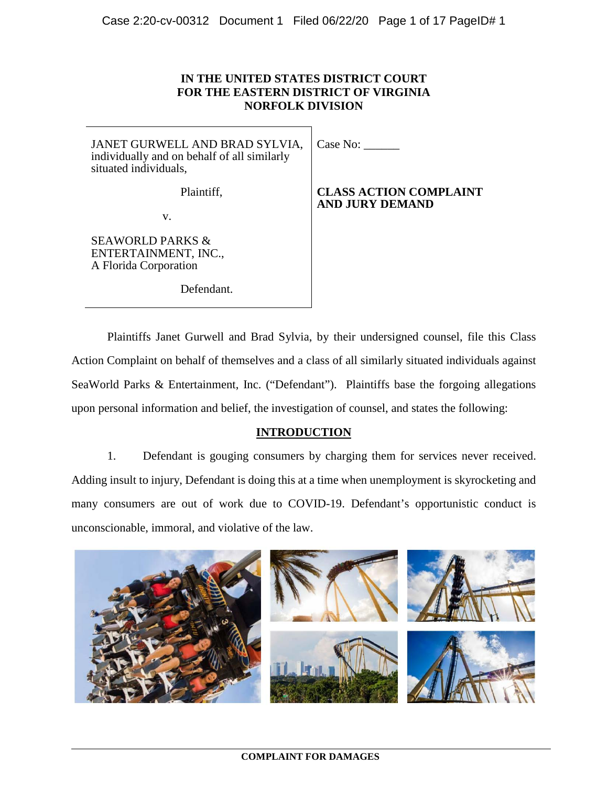# **IN THE UNITED STATES DISTRICT COURT FOR THE EASTERN DISTRICT OF VIRGINIA NORFOLK DIVISION**

JANET GURWELL AND BRAD SYLVIA, individually and on behalf of all similarly situated individuals,

Plaintiff,

v.

SEAWORLD PARKS & ENTERTAINMENT, INC., A Florida Corporation

Defendant.

Case No:

**CLASS ACTION COMPLAINT AND JURY DEMAND**

Plaintiffs Janet Gurwell and Brad Sylvia, by their undersigned counsel, file this Class Action Complaint on behalf of themselves and a class of all similarly situated individuals against SeaWorld Parks & Entertainment, Inc. ("Defendant"). Plaintiffs base the forgoing allegations upon personal information and belief, the investigation of counsel, and states the following:

# **INTRODUCTION**

1. Defendant is gouging consumers by charging them for services never received. Adding insult to injury, Defendant is doing this at a time when unemployment is skyrocketing and many consumers are out of work due to COVID-19. Defendant's opportunistic conduct is unconscionable, immoral, and violative of the law.

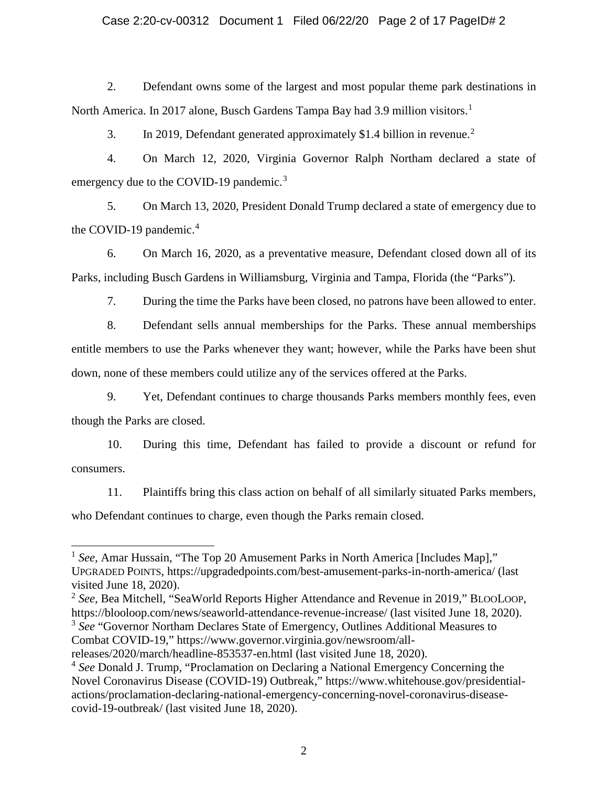## Case 2:20-cv-00312 Document 1 Filed 06/22/20 Page 2 of 17 PageID# 2

2. Defendant owns some of the largest and most popular theme park destinations in North America. In 20[1](#page-1-0)7 alone, Busch Gardens Tampa Bay had 3.9 million visitors.<sup>1</sup>

3. In [2](#page-1-1)019, Defendant generated approximately \$1.4 billion in revenue.<sup>2</sup>

4. On March 12, 2020, Virginia Governor Ralph Northam declared a state of emergency due to the COVID-19 pandemic.<sup>[3](#page-1-2)</sup>

5. On March 13, 2020, President Donald Trump declared a state of emergency due to the COVID-19 pandemic.<sup>[4](#page-1-3)</sup>

6. On March 16, 2020, as a preventative measure, Defendant closed down all of its Parks, including Busch Gardens in Williamsburg, Virginia and Tampa, Florida (the "Parks").

7. During the time the Parks have been closed, no patrons have been allowed to enter.

8. Defendant sells annual memberships for the Parks. These annual memberships entitle members to use the Parks whenever they want; however, while the Parks have been shut down, none of these members could utilize any of the services offered at the Parks.

9. Yet, Defendant continues to charge thousands Parks members monthly fees, even though the Parks are closed.

10. During this time, Defendant has failed to provide a discount or refund for consumers.

11. Plaintiffs bring this class action on behalf of all similarly situated Parks members, who Defendant continues to charge, even though the Parks remain closed.

<span id="page-1-2"></span>Combat COVID-19," https://www.governor.virginia.gov/newsroom/all-

<span id="page-1-0"></span><sup>&</sup>lt;sup>1</sup> See, Amar Hussain, "The Top 20 Amusement Parks in North America [Includes Map]," UPGRADED POINTS, https://upgradedpoints.com/best-amusement-parks-in-north-america/ (last visited June 18, 2020).

<span id="page-1-1"></span><sup>2</sup> *See,* Bea Mitchell, "SeaWorld Reports Higher Attendance and Revenue in 2019," BLOOLOOP, https://blooloop.com/news/seaworld-attendance-revenue-increase/ (last visited June 18, 2020). <sup>3</sup> *See* "Governor Northam Declares State of Emergency, Outlines Additional Measures to

releases/2020/march/headline-853537-en.html (last visited June 18, 2020).

<span id="page-1-3"></span><sup>4</sup> *See* Donald J. Trump, "Proclamation on Declaring a National Emergency Concerning the Novel Coronavirus Disease (COVID-19) Outbreak," https://www.whitehouse.gov/presidentialactions/proclamation-declaring-national-emergency-concerning-novel-coronavirus-diseasecovid-19-outbreak/ (last visited June 18, 2020).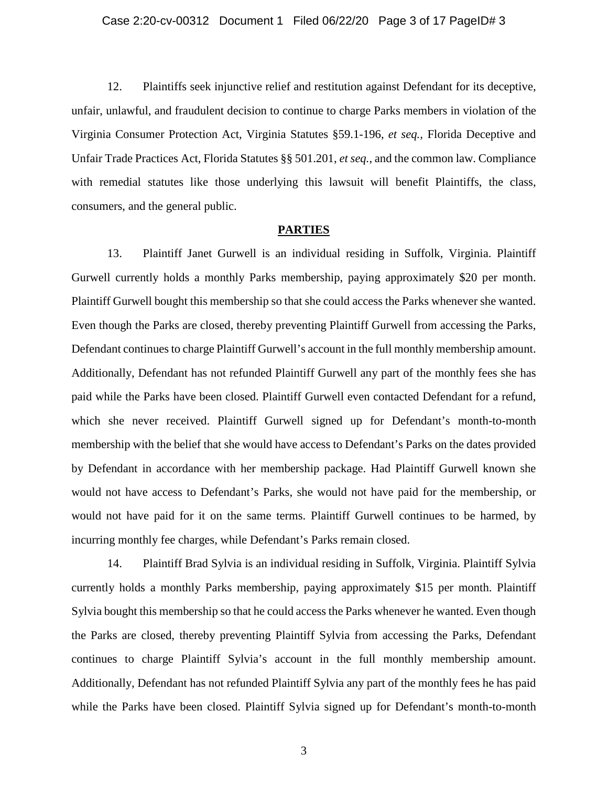#### Case 2:20-cv-00312 Document 1 Filed 06/22/20 Page 3 of 17 PageID# 3

12. Plaintiffs seek injunctive relief and restitution against Defendant for its deceptive, unfair, unlawful, and fraudulent decision to continue to charge Parks members in violation of the Virginia Consumer Protection Act, Virginia Statutes §59.1-196, *et seq.,* Florida Deceptive and Unfair Trade Practices Act, Florida Statutes §§ 501.201, *et seq.*, and the common law. Compliance with remedial statutes like those underlying this lawsuit will benefit Plaintiffs, the class, consumers, and the general public.

#### **PARTIES**

13. Plaintiff Janet Gurwell is an individual residing in Suffolk, Virginia. Plaintiff Gurwell currently holds a monthly Parks membership, paying approximately \$20 per month. Plaintiff Gurwell bought this membership so that she could access the Parks whenever she wanted. Even though the Parks are closed, thereby preventing Plaintiff Gurwell from accessing the Parks, Defendant continues to charge Plaintiff Gurwell's account in the full monthly membership amount. Additionally, Defendant has not refunded Plaintiff Gurwell any part of the monthly fees she has paid while the Parks have been closed. Plaintiff Gurwell even contacted Defendant for a refund, which she never received. Plaintiff Gurwell signed up for Defendant's month-to-month membership with the belief that she would have access to Defendant's Parks on the dates provided by Defendant in accordance with her membership package. Had Plaintiff Gurwell known she would not have access to Defendant's Parks, she would not have paid for the membership, or would not have paid for it on the same terms. Plaintiff Gurwell continues to be harmed, by incurring monthly fee charges, while Defendant's Parks remain closed.

14. Plaintiff Brad Sylvia is an individual residing in Suffolk, Virginia. Plaintiff Sylvia currently holds a monthly Parks membership, paying approximately \$15 per month. Plaintiff Sylvia bought this membership so that he could access the Parks whenever he wanted. Even though the Parks are closed, thereby preventing Plaintiff Sylvia from accessing the Parks, Defendant continues to charge Plaintiff Sylvia's account in the full monthly membership amount. Additionally, Defendant has not refunded Plaintiff Sylvia any part of the monthly fees he has paid while the Parks have been closed. Plaintiff Sylvia signed up for Defendant's month-to-month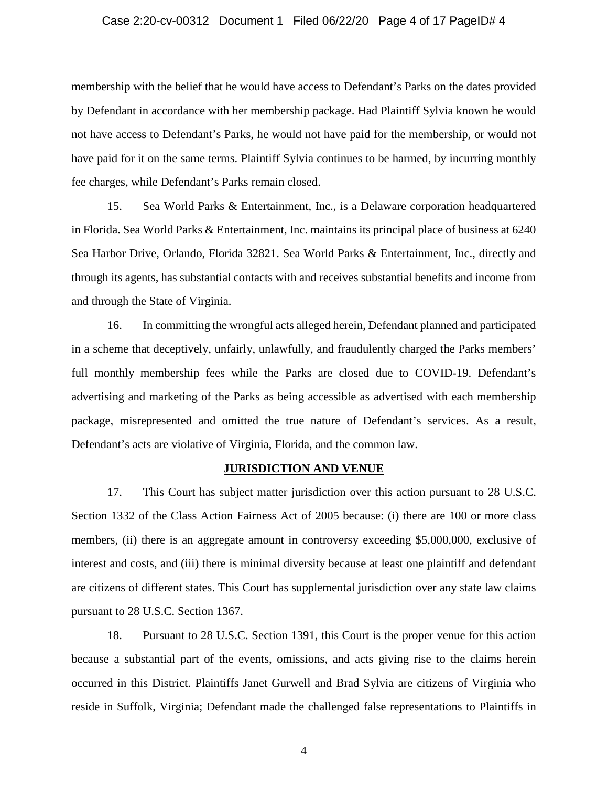## Case 2:20-cv-00312 Document 1 Filed 06/22/20 Page 4 of 17 PageID# 4

membership with the belief that he would have access to Defendant's Parks on the dates provided by Defendant in accordance with her membership package. Had Plaintiff Sylvia known he would not have access to Defendant's Parks, he would not have paid for the membership, or would not have paid for it on the same terms. Plaintiff Sylvia continues to be harmed, by incurring monthly fee charges, while Defendant's Parks remain closed.

15. Sea World Parks & Entertainment, Inc., is a Delaware corporation headquartered in Florida. Sea World Parks & Entertainment, Inc. maintains its principal place of business at 6240 Sea Harbor Drive, Orlando, Florida 32821. Sea World Parks & Entertainment, Inc., directly and through its agents, has substantial contacts with and receives substantial benefits and income from and through the State of Virginia.

16. In committing the wrongful acts alleged herein, Defendant planned and participated in a scheme that deceptively, unfairly, unlawfully, and fraudulently charged the Parks members' full monthly membership fees while the Parks are closed due to COVID-19. Defendant's advertising and marketing of the Parks as being accessible as advertised with each membership package, misrepresented and omitted the true nature of Defendant's services. As a result, Defendant's acts are violative of Virginia, Florida, and the common law.

#### **JURISDICTION AND VENUE**

17. This Court has subject matter jurisdiction over this action pursuant to 28 U.S.C. Section 1332 of the Class Action Fairness Act of 2005 because: (i) there are 100 or more class members, (ii) there is an aggregate amount in controversy exceeding \$5,000,000, exclusive of interest and costs, and (iii) there is minimal diversity because at least one plaintiff and defendant are citizens of different states. This Court has supplemental jurisdiction over any state law claims pursuant to 28 U.S.C. Section 1367.

18. Pursuant to 28 U.S.C. Section 1391, this Court is the proper venue for this action because a substantial part of the events, omissions, and acts giving rise to the claims herein occurred in this District. Plaintiffs Janet Gurwell and Brad Sylvia are citizens of Virginia who reside in Suffolk, Virginia; Defendant made the challenged false representations to Plaintiffs in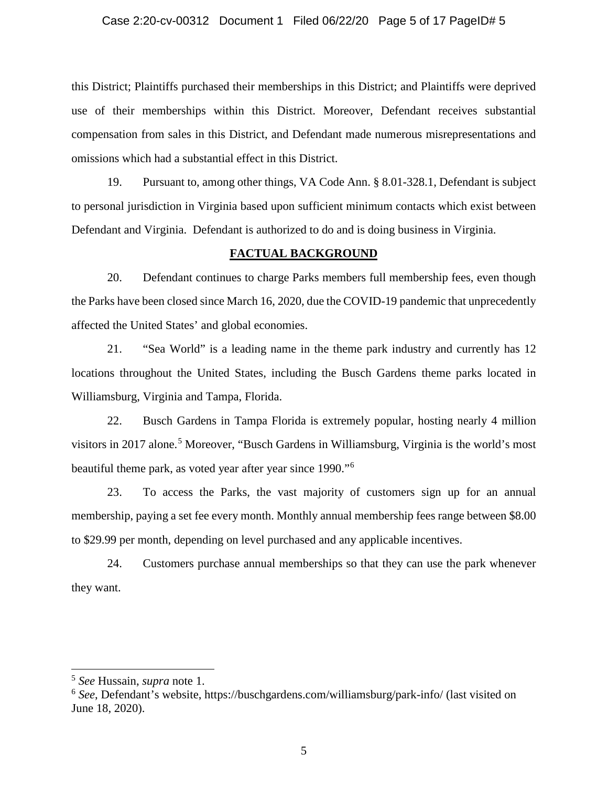## Case 2:20-cv-00312 Document 1 Filed 06/22/20 Page 5 of 17 PageID# 5

this District; Plaintiffs purchased their memberships in this District; and Plaintiffs were deprived use of their memberships within this District. Moreover, Defendant receives substantial compensation from sales in this District, and Defendant made numerous misrepresentations and omissions which had a substantial effect in this District.

19. Pursuant to, among other things, VA Code Ann. § 8.01-328.1, Defendant is subject to personal jurisdiction in Virginia based upon sufficient minimum contacts which exist between Defendant and Virginia. Defendant is authorized to do and is doing business in Virginia.

## **FACTUAL BACKGROUND**

20. Defendant continues to charge Parks members full membership fees, even though the Parks have been closed since March 16, 2020, due the COVID-19 pandemic that unprecedently affected the United States' and global economies.

21. "Sea World" is a leading name in the theme park industry and currently has 12 locations throughout the United States, including the Busch Gardens theme parks located in Williamsburg, Virginia and Tampa, Florida.

22. Busch Gardens in Tampa Florida is extremely popular, hosting nearly 4 million visitors in 2017 alone.<sup>[5](#page-4-0)</sup> Moreover, "Busch Gardens in Williamsburg, Virginia is the world's most beautiful theme park, as voted year after year since 1990."[6](#page-4-1)

23. To access the Parks, the vast majority of customers sign up for an annual membership, paying a set fee every month. Monthly annual membership fees range between \$8.00 to \$29.99 per month, depending on level purchased and any applicable incentives.

24. Customers purchase annual memberships so that they can use the park whenever they want.

<span id="page-4-0"></span> <sup>5</sup> *See* Hussain, *supra* note 1.

<span id="page-4-1"></span><sup>6</sup> *See*, Defendant's website, https://buschgardens.com/williamsburg/park-info/ (last visited on June 18, 2020).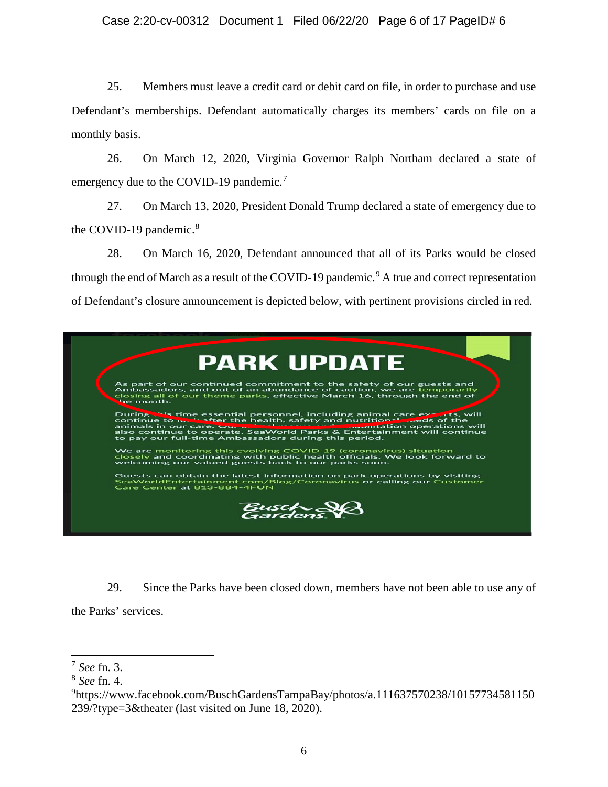# Case 2:20-cv-00312 Document 1 Filed 06/22/20 Page 6 of 17 PageID# 6

25. Members must leave a credit card or debit card on file, in order to purchase and use Defendant's memberships. Defendant automatically charges its members' cards on file on a monthly basis.

26. On March 12, 2020, Virginia Governor Ralph Northam declared a state of emergency due to the COVID-19 pandemic.<sup>[7](#page-5-0)</sup>

27. On March 13, 2020, President Donald Trump declared a state of emergency due to the COVID-19 pandemic.<sup>[8](#page-5-1)</sup>

28. On March 16, 2020, Defendant announced that all of its Parks would be closed through the end of March as a result of the COVID-1[9](#page-5-2) pandemic.<sup>9</sup> A true and correct representation of Defendant's closure announcement is depicted below, with pertinent provisions circled in red.



29. Since the Parks have been closed down, members have not been able to use any of the Parks' services.

<span id="page-5-0"></span> <sup>7</sup> *See* fn. 3.

<span id="page-5-1"></span><sup>8</sup> *See* fn. 4.

<span id="page-5-2"></span><sup>9</sup> https://www.facebook.com/BuschGardensTampaBay/photos/a.111637570238/10157734581150 239/?type=3&theater (last visited on June 18, 2020).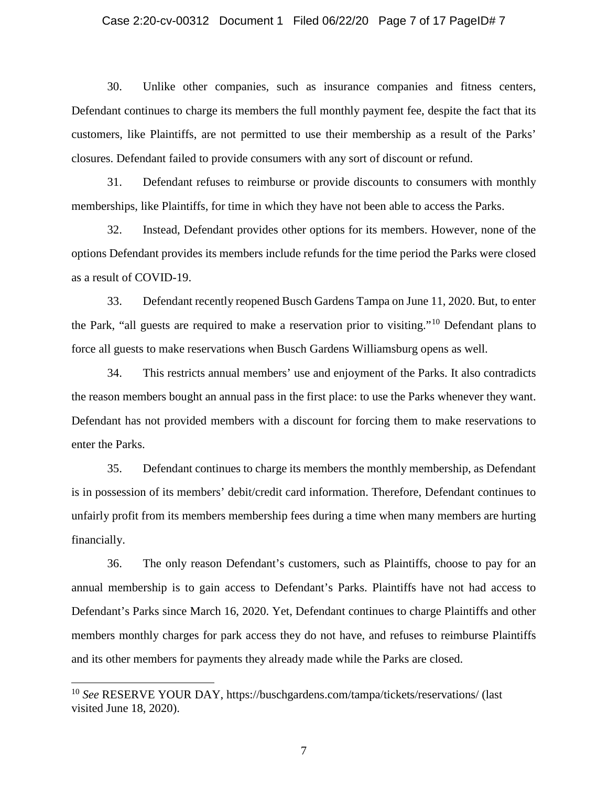## Case 2:20-cv-00312 Document 1 Filed 06/22/20 Page 7 of 17 PageID# 7

30. Unlike other companies, such as insurance companies and fitness centers, Defendant continues to charge its members the full monthly payment fee, despite the fact that its customers, like Plaintiffs, are not permitted to use their membership as a result of the Parks' closures. Defendant failed to provide consumers with any sort of discount or refund.

31. Defendant refuses to reimburse or provide discounts to consumers with monthly memberships, like Plaintiffs, for time in which they have not been able to access the Parks.

32. Instead, Defendant provides other options for its members. However, none of the options Defendant provides its members include refunds for the time period the Parks were closed as a result of COVID-19.

33. Defendant recently reopened Busch Gardens Tampa on June 11, 2020. But, to enter the Park, "all guests are required to make a reservation prior to visiting."[10](#page-6-0) Defendant plans to force all guests to make reservations when Busch Gardens Williamsburg opens as well.

34. This restricts annual members' use and enjoyment of the Parks. It also contradicts the reason members bought an annual pass in the first place: to use the Parks whenever they want. Defendant has not provided members with a discount for forcing them to make reservations to enter the Parks.

35. Defendant continues to charge its members the monthly membership, as Defendant is in possession of its members' debit/credit card information. Therefore, Defendant continues to unfairly profit from its members membership fees during a time when many members are hurting financially.

36. The only reason Defendant's customers, such as Plaintiffs, choose to pay for an annual membership is to gain access to Defendant's Parks. Plaintiffs have not had access to Defendant's Parks since March 16, 2020. Yet, Defendant continues to charge Plaintiffs and other members monthly charges for park access they do not have, and refuses to reimburse Plaintiffs and its other members for payments they already made while the Parks are closed.

<span id="page-6-0"></span> <sup>10</sup> *See* RESERVE YOUR DAY, https://buschgardens.com/tampa/tickets/reservations/ (last visited June 18, 2020).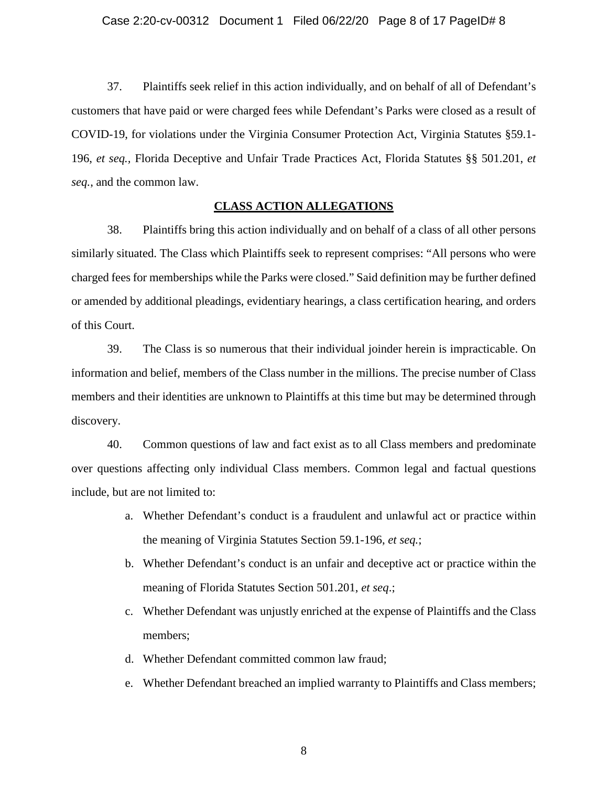## Case 2:20-cv-00312 Document 1 Filed 06/22/20 Page 8 of 17 PageID# 8

37. Plaintiffs seek relief in this action individually, and on behalf of all of Defendant's customers that have paid or were charged fees while Defendant's Parks were closed as a result of COVID-19, for violations under the Virginia Consumer Protection Act, Virginia Statutes §59.1- 196, *et seq.,* Florida Deceptive and Unfair Trade Practices Act, Florida Statutes §§ 501.201, *et seq.*, and the common law.

## **CLASS ACTION ALLEGATIONS**

38. Plaintiffs bring this action individually and on behalf of a class of all other persons similarly situated. The Class which Plaintiffs seek to represent comprises: "All persons who were charged fees for memberships while the Parks were closed." Said definition may be further defined or amended by additional pleadings, evidentiary hearings, a class certification hearing, and orders of this Court.

39. The Class is so numerous that their individual joinder herein is impracticable. On information and belief, members of the Class number in the millions. The precise number of Class members and their identities are unknown to Plaintiffs at this time but may be determined through discovery.

40. Common questions of law and fact exist as to all Class members and predominate over questions affecting only individual Class members. Common legal and factual questions include, but are not limited to:

- a. Whether Defendant's conduct is a fraudulent and unlawful act or practice within the meaning of Virginia Statutes Section 59.1-196, *et seq.*;
- b. Whether Defendant's conduct is an unfair and deceptive act or practice within the meaning of Florida Statutes Section 501.201, *et seq*.;
- c. Whether Defendant was unjustly enriched at the expense of Plaintiffs and the Class members;
- d. Whether Defendant committed common law fraud;
- e. Whether Defendant breached an implied warranty to Plaintiffs and Class members;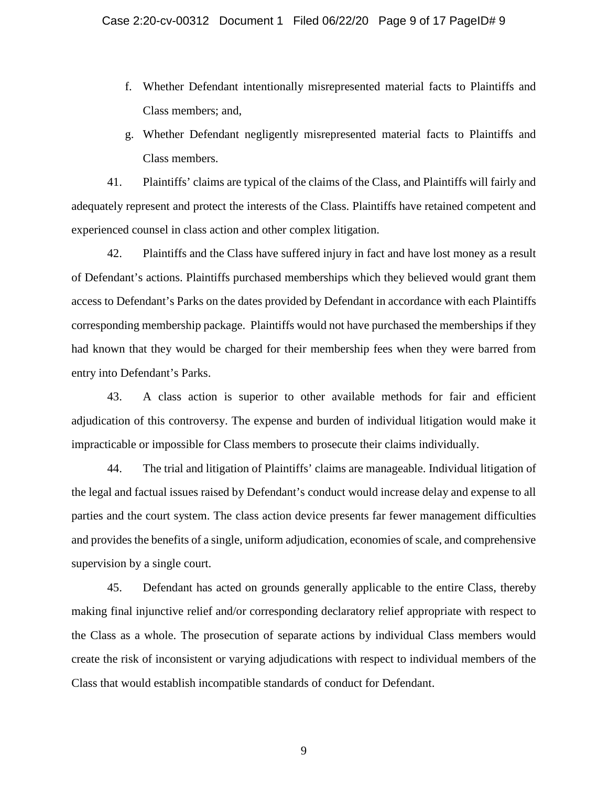- f. Whether Defendant intentionally misrepresented material facts to Plaintiffs and Class members; and,
- g. Whether Defendant negligently misrepresented material facts to Plaintiffs and Class members.

41. Plaintiffs' claims are typical of the claims of the Class, and Plaintiffs will fairly and adequately represent and protect the interests of the Class. Plaintiffs have retained competent and experienced counsel in class action and other complex litigation.

42. Plaintiffs and the Class have suffered injury in fact and have lost money as a result of Defendant's actions. Plaintiffs purchased memberships which they believed would grant them access to Defendant's Parks on the dates provided by Defendant in accordance with each Plaintiffs corresponding membership package. Plaintiffs would not have purchased the memberships if they had known that they would be charged for their membership fees when they were barred from entry into Defendant's Parks.

43. A class action is superior to other available methods for fair and efficient adjudication of this controversy. The expense and burden of individual litigation would make it impracticable or impossible for Class members to prosecute their claims individually.

44. The trial and litigation of Plaintiffs' claims are manageable. Individual litigation of the legal and factual issues raised by Defendant's conduct would increase delay and expense to all parties and the court system. The class action device presents far fewer management difficulties and provides the benefits of a single, uniform adjudication, economies of scale, and comprehensive supervision by a single court.

45. Defendant has acted on grounds generally applicable to the entire Class, thereby making final injunctive relief and/or corresponding declaratory relief appropriate with respect to the Class as a whole. The prosecution of separate actions by individual Class members would create the risk of inconsistent or varying adjudications with respect to individual members of the Class that would establish incompatible standards of conduct for Defendant.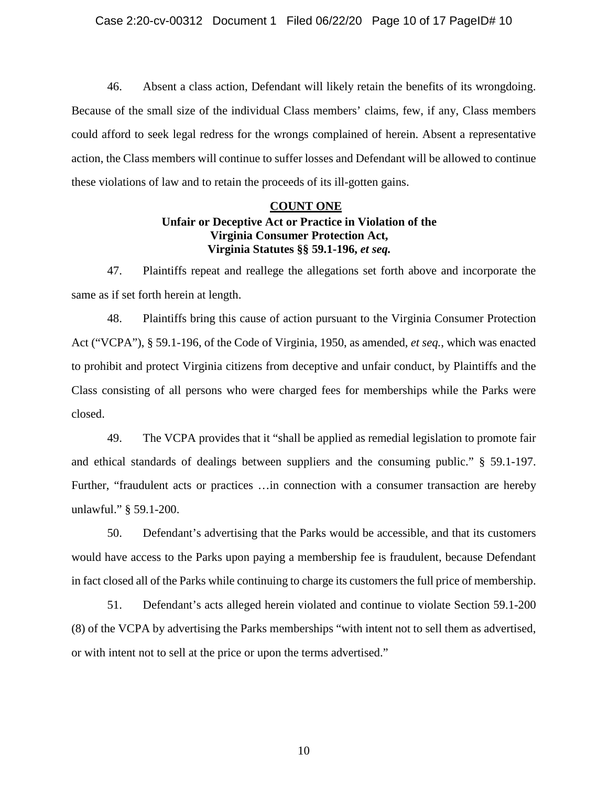46. Absent a class action, Defendant will likely retain the benefits of its wrongdoing. Because of the small size of the individual Class members' claims, few, if any, Class members could afford to seek legal redress for the wrongs complained of herein. Absent a representative action, the Class members will continue to suffer losses and Defendant will be allowed to continue these violations of law and to retain the proceeds of its ill-gotten gains.

# **COUNT ONE Unfair or Deceptive Act or Practice in Violation of the Virginia Consumer Protection Act, Virginia Statutes §§ 59.1-196,** *et seq.*

47. Plaintiffs repeat and reallege the allegations set forth above and incorporate the same as if set forth herein at length.

48. Plaintiffs bring this cause of action pursuant to the Virginia Consumer Protection Act ("VCPA"), § 59.1-196, of the Code of Virginia, 1950, as amended, *et seq.*, which was enacted to prohibit and protect Virginia citizens from deceptive and unfair conduct, by Plaintiffs and the Class consisting of all persons who were charged fees for memberships while the Parks were closed.

49. The VCPA provides that it "shall be applied as remedial legislation to promote fair and ethical standards of dealings between suppliers and the consuming public." § 59.1-197. Further, "fraudulent acts or practices ... in connection with a consumer transaction are hereby unlawful." § 59.1-200.

50. Defendant's advertising that the Parks would be accessible, and that its customers would have access to the Parks upon paying a membership fee is fraudulent, because Defendant in fact closed all of the Parks while continuing to charge its customers the full price of membership.

51. Defendant's acts alleged herein violated and continue to violate Section 59.1-200 (8) of the VCPA by advertising the Parks memberships "with intent not to sell them as advertised, or with intent not to sell at the price or upon the terms advertised."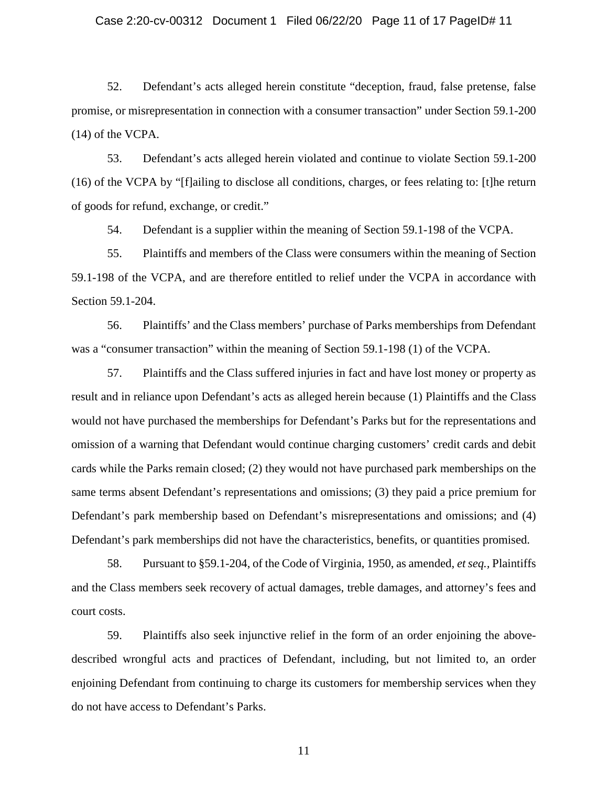## Case 2:20-cv-00312 Document 1 Filed 06/22/20 Page 11 of 17 PageID# 11

52. Defendant's acts alleged herein constitute "deception, fraud, false pretense, false promise, or misrepresentation in connection with a consumer transaction" under Section 59.1-200 (14) of the VCPA.

53. Defendant's acts alleged herein violated and continue to violate Section 59.1-200 (16) of the VCPA by "[f]ailing to disclose all conditions, charges, or fees relating to: [t]he return of goods for refund, exchange, or credit."

54. Defendant is a supplier within the meaning of Section 59.1-198 of the VCPA.

55. Plaintiffs and members of the Class were consumers within the meaning of Section 59.1-198 of the VCPA, and are therefore entitled to relief under the VCPA in accordance with Section 59.1-204.

56. Plaintiffs' and the Class members' purchase of Parks memberships from Defendant was a "consumer transaction" within the meaning of Section 59.1-198 (1) of the VCPA.

57. Plaintiffs and the Class suffered injuries in fact and have lost money or property as result and in reliance upon Defendant's acts as alleged herein because (1) Plaintiffs and the Class would not have purchased the memberships for Defendant's Parks but for the representations and omission of a warning that Defendant would continue charging customers' credit cards and debit cards while the Parks remain closed; (2) they would not have purchased park memberships on the same terms absent Defendant's representations and omissions; (3) they paid a price premium for Defendant's park membership based on Defendant's misrepresentations and omissions; and (4) Defendant's park memberships did not have the characteristics, benefits, or quantities promised.

58. Pursuant to §59.1-204, of the Code of Virginia, 1950, as amended, *et seq.,* Plaintiffs and the Class members seek recovery of actual damages, treble damages, and attorney's fees and court costs.

59. Plaintiffs also seek injunctive relief in the form of an order enjoining the abovedescribed wrongful acts and practices of Defendant, including, but not limited to, an order enjoining Defendant from continuing to charge its customers for membership services when they do not have access to Defendant's Parks.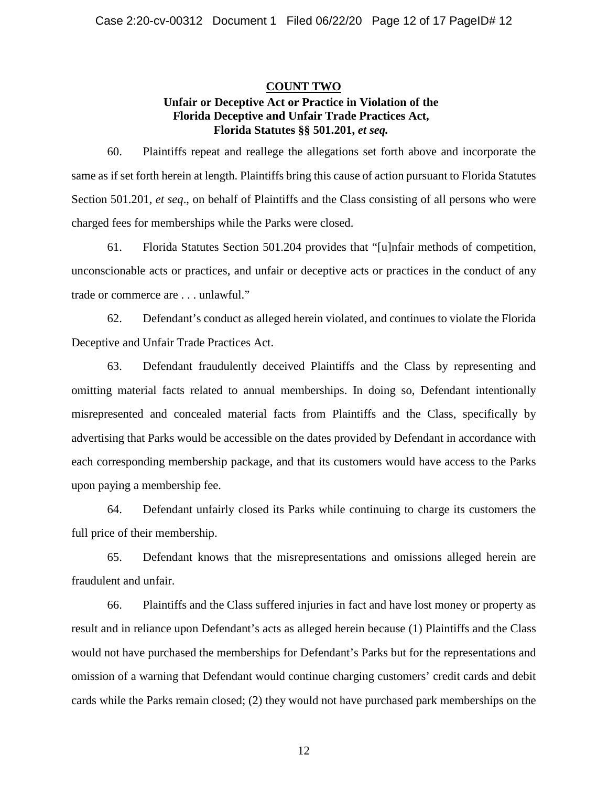# **COUNT TWO Unfair or Deceptive Act or Practice in Violation of the Florida Deceptive and Unfair Trade Practices Act, Florida Statutes §§ 501.201,** *et seq.*

60. Plaintiffs repeat and reallege the allegations set forth above and incorporate the same as if set forth herein at length. Plaintiffs bring this cause of action pursuant to Florida Statutes Section 501.201, *et seq*., on behalf of Plaintiffs and the Class consisting of all persons who were charged fees for memberships while the Parks were closed.

61. Florida Statutes Section 501.204 provides that "[u]nfair methods of competition, unconscionable acts or practices, and unfair or deceptive acts or practices in the conduct of any trade or commerce are . . . unlawful."

62. Defendant's conduct as alleged herein violated, and continues to violate the Florida Deceptive and Unfair Trade Practices Act.

63. Defendant fraudulently deceived Plaintiffs and the Class by representing and omitting material facts related to annual memberships. In doing so, Defendant intentionally misrepresented and concealed material facts from Plaintiffs and the Class, specifically by advertising that Parks would be accessible on the dates provided by Defendant in accordance with each corresponding membership package, and that its customers would have access to the Parks upon paying a membership fee.

64. Defendant unfairly closed its Parks while continuing to charge its customers the full price of their membership.

65. Defendant knows that the misrepresentations and omissions alleged herein are fraudulent and unfair.

66. Plaintiffs and the Class suffered injuries in fact and have lost money or property as result and in reliance upon Defendant's acts as alleged herein because (1) Plaintiffs and the Class would not have purchased the memberships for Defendant's Parks but for the representations and omission of a warning that Defendant would continue charging customers' credit cards and debit cards while the Parks remain closed; (2) they would not have purchased park memberships on the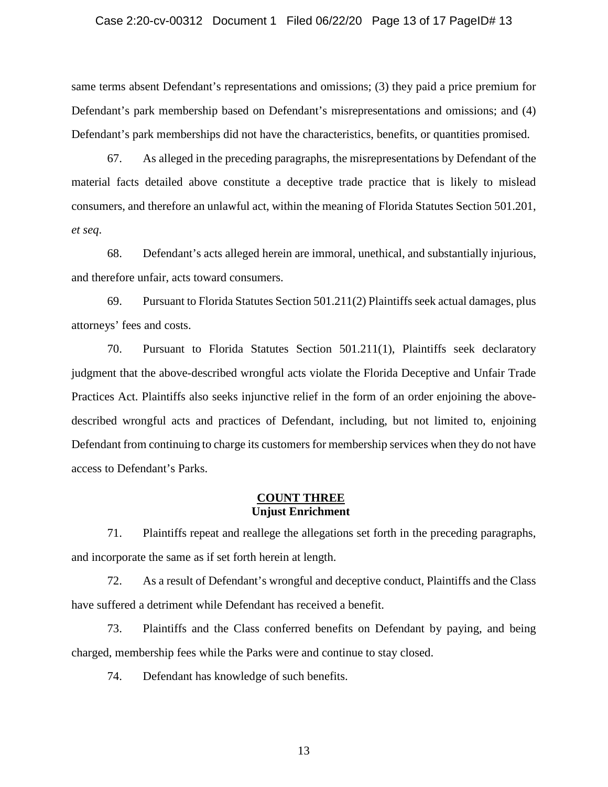#### Case 2:20-cv-00312 Document 1 Filed 06/22/20 Page 13 of 17 PageID# 13

same terms absent Defendant's representations and omissions; (3) they paid a price premium for Defendant's park membership based on Defendant's misrepresentations and omissions; and (4) Defendant's park memberships did not have the characteristics, benefits, or quantities promised.

67. As alleged in the preceding paragraphs, the misrepresentations by Defendant of the material facts detailed above constitute a deceptive trade practice that is likely to mislead consumers, and therefore an unlawful act, within the meaning of Florida Statutes Section 501.201, *et seq*.

68. Defendant's acts alleged herein are immoral, unethical, and substantially injurious, and therefore unfair, acts toward consumers.

69. Pursuant to Florida Statutes Section 501.211(2) Plaintiffs seek actual damages, plus attorneys' fees and costs.

70. Pursuant to Florida Statutes Section 501.211(1), Plaintiffs seek declaratory judgment that the above-described wrongful acts violate the Florida Deceptive and Unfair Trade Practices Act. Plaintiffs also seeks injunctive relief in the form of an order enjoining the abovedescribed wrongful acts and practices of Defendant, including, but not limited to, enjoining Defendant from continuing to charge its customers for membership services when they do not have access to Defendant's Parks.

# **COUNT THREE Unjust Enrichment**

71. Plaintiffs repeat and reallege the allegations set forth in the preceding paragraphs, and incorporate the same as if set forth herein at length.

72. As a result of Defendant's wrongful and deceptive conduct, Plaintiffs and the Class have suffered a detriment while Defendant has received a benefit.

73. Plaintiffs and the Class conferred benefits on Defendant by paying, and being charged, membership fees while the Parks were and continue to stay closed.

74. Defendant has knowledge of such benefits.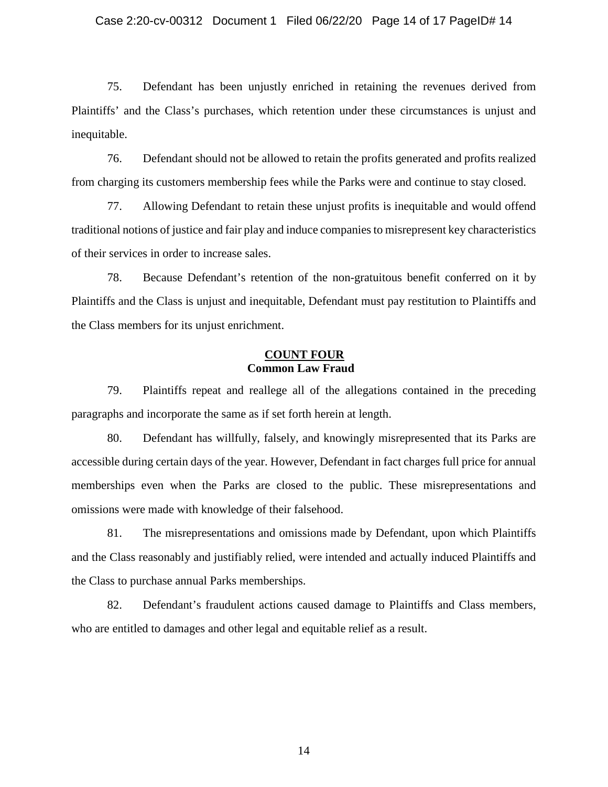## Case 2:20-cv-00312 Document 1 Filed 06/22/20 Page 14 of 17 PageID# 14

75. Defendant has been unjustly enriched in retaining the revenues derived from Plaintiffs' and the Class's purchases, which retention under these circumstances is unjust and inequitable.

76. Defendant should not be allowed to retain the profits generated and profits realized from charging its customers membership fees while the Parks were and continue to stay closed.

77. Allowing Defendant to retain these unjust profits is inequitable and would offend traditional notions of justice and fair play and induce companies to misrepresent key characteristics of their services in order to increase sales.

78. Because Defendant's retention of the non-gratuitous benefit conferred on it by Plaintiffs and the Class is unjust and inequitable, Defendant must pay restitution to Plaintiffs and the Class members for its unjust enrichment.

# **COUNT FOUR Common Law Fraud**

79. Plaintiffs repeat and reallege all of the allegations contained in the preceding paragraphs and incorporate the same as if set forth herein at length.

80. Defendant has willfully, falsely, and knowingly misrepresented that its Parks are accessible during certain days of the year. However, Defendant in fact charges full price for annual memberships even when the Parks are closed to the public. These misrepresentations and omissions were made with knowledge of their falsehood.

81. The misrepresentations and omissions made by Defendant, upon which Plaintiffs and the Class reasonably and justifiably relied, were intended and actually induced Plaintiffs and the Class to purchase annual Parks memberships.

82. Defendant's fraudulent actions caused damage to Plaintiffs and Class members, who are entitled to damages and other legal and equitable relief as a result.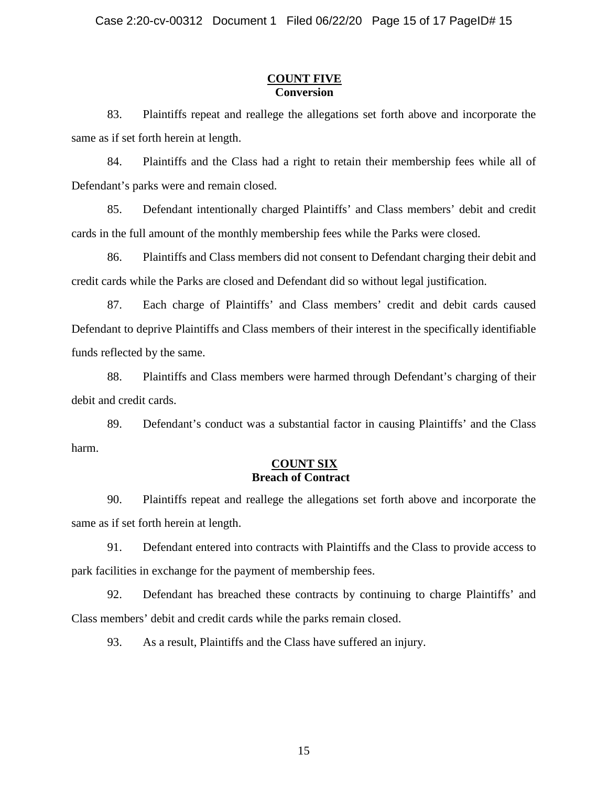## **COUNT FIVE Conversion**

83. Plaintiffs repeat and reallege the allegations set forth above and incorporate the same as if set forth herein at length.

84. Plaintiffs and the Class had a right to retain their membership fees while all of Defendant's parks were and remain closed.

85. Defendant intentionally charged Plaintiffs' and Class members' debit and credit cards in the full amount of the monthly membership fees while the Parks were closed.

86. Plaintiffs and Class members did not consent to Defendant charging their debit and credit cards while the Parks are closed and Defendant did so without legal justification.

87. Each charge of Plaintiffs' and Class members' credit and debit cards caused Defendant to deprive Plaintiffs and Class members of their interest in the specifically identifiable funds reflected by the same.

88. Plaintiffs and Class members were harmed through Defendant's charging of their debit and credit cards.

89. Defendant's conduct was a substantial factor in causing Plaintiffs' and the Class harm.

## **COUNT SIX Breach of Contract**

90. Plaintiffs repeat and reallege the allegations set forth above and incorporate the same as if set forth herein at length.

91. Defendant entered into contracts with Plaintiffs and the Class to provide access to park facilities in exchange for the payment of membership fees.

92. Defendant has breached these contracts by continuing to charge Plaintiffs' and Class members' debit and credit cards while the parks remain closed.

93. As a result, Plaintiffs and the Class have suffered an injury.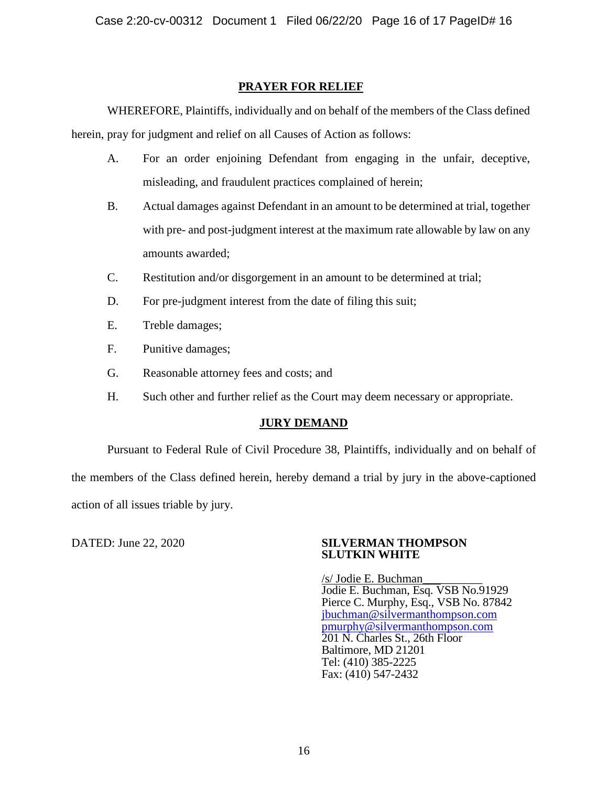# **PRAYER FOR RELIEF**

WHEREFORE, Plaintiffs, individually and on behalf of the members of the Class defined herein, pray for judgment and relief on all Causes of Action as follows:

- A. For an order enjoining Defendant from engaging in the unfair, deceptive, misleading, and fraudulent practices complained of herein;
- B. Actual damages against Defendant in an amount to be determined at trial, together with pre- and post-judgment interest at the maximum rate allowable by law on any amounts awarded;
- C. Restitution and/or disgorgement in an amount to be determined at trial;
- D. For pre-judgment interest from the date of filing this suit;
- E. Treble damages;
- F. Punitive damages;
- G. Reasonable attorney fees and costs; and
- H. Such other and further relief as the Court may deem necessary or appropriate.

# **JURY DEMAND**

Pursuant to Federal Rule of Civil Procedure 38, Plaintiffs, individually and on behalf of the members of the Class defined herein, hereby demand a trial by jury in the above-captioned action of all issues triable by jury.

## DATED: June 22, 2020 **SILVERMAN THOMPSON SLUTKIN WHITE**

/s/ Jodie E. Buchman\_\_\_\_\_\_\_\_\_\_ Jodie E. Buchman, Esq. VSB No.91929 Pierce C. Murphy, Esq., VSB No. 87842 [jbuchman@silvermanthompson.com](mailto:jbuchman@silvermanthompson.com) [pmurphy@silvermanthompson.com](mailto:pmurphy@silvermanthompson.com) 201 N. Charles St., 26th Floor Baltimore, MD 21201 Tel: (410) 385-2225 Fax: (410) 547-2432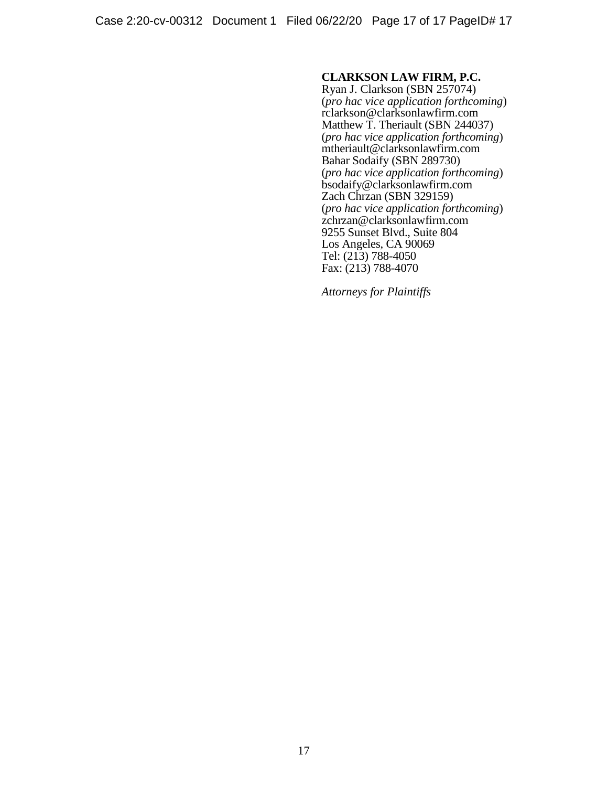# **CLARKSON LAW FIRM, P.C.**

Ryan J. Clarkson (SBN 257074) (*pro hac vice application forthcoming*) [rclarkson@clarksonlawfirm.com](mailto:rclarkson@clarksonlawfirm.com) Matthew T. Theriault (SBN 244037) (*pro hac vice application forthcoming*) mtheriault@clarksonlawfirm.com Bahar Sodaify (SBN 289730) (*pro hac vice application forthcoming*) bsodaify@clarksonlawfirm.com Zach Chrzan (SBN 329159) (*pro hac vice application forthcoming*) zchrzan@clarksonlawfirm.com 9255 Sunset Blvd., Suite 804 Los Angeles, CA 90069 Tel: (213) 788-4050 Fax: (213) 788-4070

*Attorneys for Plaintiffs*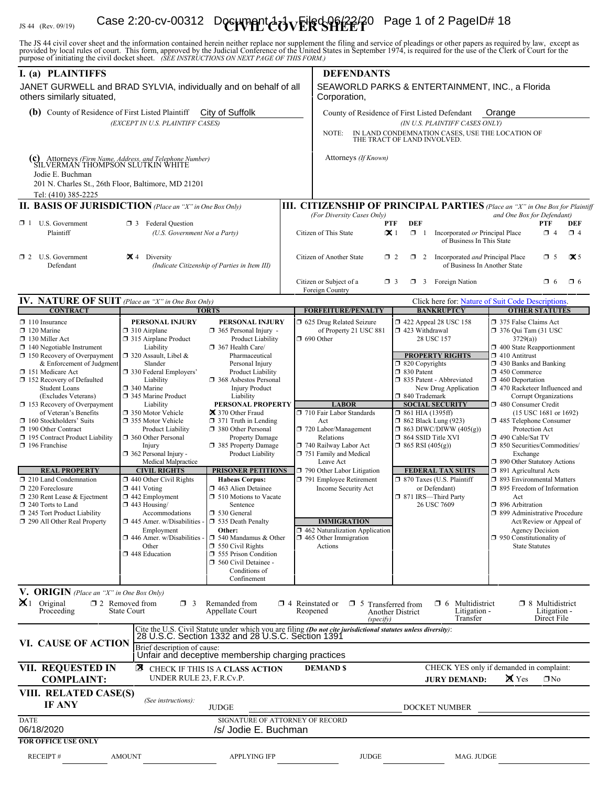# IS 44 (Rev. 09/19) **Case 2:20-cv-00312 Document 4-0 VERSHEET** Page 1 of 2 PageID# 18

The JS 44 civil cover sheet and the information contained herein neither replace nor supplement the filing and service of pleadings or other papers as required by law, except as provided by local rules of court. This form,

| I. (a) PLAINTIFFS<br>JANET GURWELL and BRAD SYLVIA, individually and on behalf of all                                                        |                                                                                                                                                                                                                                                                                                   |                                                                                                         |  | <b>DEFENDANTS</b><br>SEAWORLD PARKS & ENTERTAINMENT, INC., a Florida                                                                                                                                                                           |                                                                                                                                                                                              |                                                                                                                     |                                                                                                                                                                                                                              |                                                                                                                        |          |
|----------------------------------------------------------------------------------------------------------------------------------------------|---------------------------------------------------------------------------------------------------------------------------------------------------------------------------------------------------------------------------------------------------------------------------------------------------|---------------------------------------------------------------------------------------------------------|--|------------------------------------------------------------------------------------------------------------------------------------------------------------------------------------------------------------------------------------------------|----------------------------------------------------------------------------------------------------------------------------------------------------------------------------------------------|---------------------------------------------------------------------------------------------------------------------|------------------------------------------------------------------------------------------------------------------------------------------------------------------------------------------------------------------------------|------------------------------------------------------------------------------------------------------------------------|----------|
| others similarly situated,                                                                                                                   |                                                                                                                                                                                                                                                                                                   |                                                                                                         |  | Corporation,                                                                                                                                                                                                                                   |                                                                                                                                                                                              |                                                                                                                     |                                                                                                                                                                                                                              |                                                                                                                        |          |
| City of Suffolk<br>(b) County of Residence of First Listed Plaintiff<br>(EXCEPT IN U.S. PLAINTIFF CASES)                                     |                                                                                                                                                                                                                                                                                                   |                                                                                                         |  | County of Residence of First Listed Defendant<br>Orange<br>(IN U.S. PLAINTIFF CASES ONLY)                                                                                                                                                      |                                                                                                                                                                                              |                                                                                                                     |                                                                                                                                                                                                                              |                                                                                                                        |          |
|                                                                                                                                              |                                                                                                                                                                                                                                                                                                   |                                                                                                         |  | IN LAND CONDEMNATION CASES, USE THE LOCATION OF<br>NOTE:<br>THE TRACT OF LAND INVOLVED.                                                                                                                                                        |                                                                                                                                                                                              |                                                                                                                     |                                                                                                                                                                                                                              |                                                                                                                        |          |
| C) Attorneys (Firm Name, Address, and Telephone Number)<br>SILVERMAN THOMPSON SLUTKIN WHITE<br>Jodie E. Buchman                              |                                                                                                                                                                                                                                                                                                   |                                                                                                         |  | Attorneys (If Known)                                                                                                                                                                                                                           |                                                                                                                                                                                              |                                                                                                                     |                                                                                                                                                                                                                              |                                                                                                                        |          |
| Tel: (410) 385-2225                                                                                                                          | 201 N. Charles St., 26th Floor, Baltimore, MD 21201                                                                                                                                                                                                                                               |                                                                                                         |  |                                                                                                                                                                                                                                                |                                                                                                                                                                                              |                                                                                                                     |                                                                                                                                                                                                                              |                                                                                                                        |          |
| <b>II. BASIS OF JURISDICTION</b> (Place an "X" in One Box Only)                                                                              |                                                                                                                                                                                                                                                                                                   |                                                                                                         |  | <b>III. CITIZENSHIP OF PRINCIPAL PARTIES</b> (Place an "X" in One Box for Plaintiff                                                                                                                                                            |                                                                                                                                                                                              |                                                                                                                     |                                                                                                                                                                                                                              |                                                                                                                        |          |
| $\Box$ 1 U.S. Government<br>Plaintiff                                                                                                        | <b>3</b> Federal Question<br>(U.S. Government Not a Party)                                                                                                                                                                                                                                        |                                                                                                         |  | (For Diversity Cases Only)<br>and One Box for Defendant)<br><b>DEF</b><br><b>PTF</b><br>PTF<br>DEF<br>Citizen of This State<br>$\propto$ 1<br>$\Box$ 1<br>Incorporated or Principal Place<br>$\Box$ 4<br>$\Box$ 4<br>of Business In This State |                                                                                                                                                                                              |                                                                                                                     |                                                                                                                                                                                                                              |                                                                                                                        |          |
| $\Box$ 2 U.S. Government<br>Defendant                                                                                                        | $\mathbf{\times}$ 4 Diversity<br>(Indicate Citizenship of Parties in Item III)                                                                                                                                                                                                                    |                                                                                                         |  | Citizen of Another State                                                                                                                                                                                                                       | $\Box$ 2                                                                                                                                                                                     | $\mathbf{\times}$ 5<br>$\Box$ 2 Incorporated <i>and</i> Principal Place<br>$\Box$ 5<br>of Business In Another State |                                                                                                                                                                                                                              |                                                                                                                        |          |
|                                                                                                                                              |                                                                                                                                                                                                                                                                                                   |                                                                                                         |  | Citizen or Subject of a<br>Foreign Country                                                                                                                                                                                                     | $\Box$ 3                                                                                                                                                                                     | <b>1</b> 3 Foreign Nation                                                                                           |                                                                                                                                                                                                                              | $\Box$ 6                                                                                                               | $\Box$ 6 |
| IV. NATURE OF SUIT (Place an "X" in One Box Only)                                                                                            |                                                                                                                                                                                                                                                                                                   |                                                                                                         |  | Click here for: Nature of Suit Code Descriptions.                                                                                                                                                                                              |                                                                                                                                                                                              |                                                                                                                     |                                                                                                                                                                                                                              |                                                                                                                        |          |
| <b>CONTRACT</b>                                                                                                                              |                                                                                                                                                                                                                                                                                                   | <b>TORTS</b>                                                                                            |  | <b>FORFEITURE/PENALTY</b>                                                                                                                                                                                                                      |                                                                                                                                                                                              | <b>BANKRUPTCY</b>                                                                                                   |                                                                                                                                                                                                                              | <b>OTHER STATUTES</b>                                                                                                  |          |
| $\Box$ 110 Insurance<br>$\Box$ 120 Marine<br>$\Box$ 130 Miller Act<br>$\Box$ 140 Negotiable Instrument<br>$\Box$ 150 Recovery of Overpayment | PERSONAL INJURY<br>PERSONAL INJURY<br>$\Box$ 310 Airplane<br>$\Box$ 365 Personal Injury -<br>315 Airplane Product<br>Product Liability<br>Liability<br>367 Health Care/<br>□ 320 Assault, Libel &<br>Pharmaceutical                                                                               |                                                                                                         |  | 5 625 Drug Related Seizure<br>of Property 21 USC 881<br>$\Box$ 690 Other                                                                                                                                                                       |                                                                                                                                                                                              | $\Box$ 422 Appeal 28 USC 158<br>423 Withdrawal<br>28 USC 157<br><b>PROPERTY RIGHTS</b>                              |                                                                                                                                                                                                                              | □ 375 False Claims Act<br>$\Box$ 376 Qui Tam (31 USC<br>3729(a)<br>1 400 State Reapportionment<br>$\Box$ 410 Antitrust |          |
| & Enforcement of Judgment<br>□ 151 Medicare Act<br>□ 152 Recovery of Defaulted<br><b>Student Loans</b>                                       | Slander<br>□ 330 Federal Employers'<br>Liability<br>□ 340 Marine                                                                                                                                                                                                                                  | Personal Injury<br><b>Product Liability</b><br>□ 368 Asbestos Personal<br><b>Injury Product</b>         |  |                                                                                                                                                                                                                                                | $\Box$ 820 Copyrights<br>$\Box$ 830 Patent<br>□ 835 Patent - Abbreviated<br>New Drug Application                                                                                             |                                                                                                                     | $\Box$ 430 Banks and Banking<br>$\Box$ 450 Commerce<br>$\Box$ 460 Deportation<br>1 470 Racketeer Influenced and                                                                                                              |                                                                                                                        |          |
| (Excludes Veterans)<br>$\Box$ 153 Recovery of Overpayment                                                                                    | 345 Marine Product<br>Liability                                                                                                                                                                                                                                                                   | Liability<br>PERSONAL PROPERTY                                                                          |  | <b>LABOR</b>                                                                                                                                                                                                                                   | □ 840 Trademark<br><b>SOCIAL SECURITY</b><br>$\Box$ 861 HIA (1395ff)<br>$\Box$ 862 Black Lung (923)<br>$\Box$ 863 DIWC/DIWW (405(g))<br>$\Box$ 864 SSID Title XVI<br>$\Box$ 865 RSI (405(g)) |                                                                                                                     | Corrupt Organizations<br>□ 480 Consumer Credit<br>(15 USC 1681 or 1692)<br>485 Telephone Consumer<br>Protection Act<br>□ 490 Cable/Sat TV<br>$\Box$ 850 Securities/Commodities/<br>Exchange<br>□ 890 Other Statutory Actions |                                                                                                                        |          |
| of Veteran's Benefits<br>160 Stockholders' Suits                                                                                             | □ 350 Motor Vehicle<br>区 370 Other Fraud<br>□ 355 Motor Vehicle<br>$\Box$ 371 Truth in Lending<br>Product Liability<br>380 Other Personal<br>360 Other Personal<br>Property Damage<br>□ 385 Property Damage<br>Injury<br>$\Box$ 362 Personal Injury -<br>Product Liability<br>Medical Malpractice |                                                                                                         |  | 710 Fair Labor Standards                                                                                                                                                                                                                       |                                                                                                                                                                                              |                                                                                                                     |                                                                                                                                                                                                                              |                                                                                                                        |          |
| 190 Other Contract                                                                                                                           |                                                                                                                                                                                                                                                                                                   |                                                                                                         |  | Act<br>720 Labor/Management                                                                                                                                                                                                                    |                                                                                                                                                                                              |                                                                                                                     |                                                                                                                                                                                                                              |                                                                                                                        |          |
| 195 Contract Product Liability<br>$\Box$ 196 Franchise                                                                                       |                                                                                                                                                                                                                                                                                                   |                                                                                                         |  | Relations<br>740 Railway Labor Act                                                                                                                                                                                                             |                                                                                                                                                                                              |                                                                                                                     |                                                                                                                                                                                                                              |                                                                                                                        |          |
|                                                                                                                                              |                                                                                                                                                                                                                                                                                                   |                                                                                                         |  | 751 Family and Medical<br>Leave Act                                                                                                                                                                                                            |                                                                                                                                                                                              |                                                                                                                     |                                                                                                                                                                                                                              |                                                                                                                        |          |
| <b>REAL PROPERTY</b><br>210 Land Condemnation                                                                                                | <b>CIVIL RIGHTS</b><br>$\Box$ 440 Other Civil Rights                                                                                                                                                                                                                                              | <b>PRISONER PETITIONS</b><br><b>Habeas Corpus:</b>                                                      |  | 790 Other Labor Litigation<br>791 Employee Retirement                                                                                                                                                                                          |                                                                                                                                                                                              | <b>FEDERAL TAX SUITS</b><br>$\Box$ 870 Taxes (U.S. Plaintiff                                                        | □ 891 Agricultural Acts<br>□ 893 Environmental Matters                                                                                                                                                                       |                                                                                                                        |          |
| $\Box$ 220 Foreclosure                                                                                                                       | $\Box$ 441 Voting                                                                                                                                                                                                                                                                                 | 463 Alien Detainee                                                                                      |  | Income Security Act                                                                                                                                                                                                                            |                                                                                                                                                                                              | or Defendant)                                                                                                       | $\Box$ 895 Freedom of Information                                                                                                                                                                                            |                                                                                                                        |          |
| 230 Rent Lease & Ejectment<br>$\Box$ 240 Torts to Land                                                                                       | $\Box$ 442 Employment<br>$\Box$ 443 Housing/                                                                                                                                                                                                                                                      | $\Box$ 510 Motions to Vacate<br>Sentence                                                                |  |                                                                                                                                                                                                                                                |                                                                                                                                                                                              | □ 871 IRS-Third Party<br>26 USC 7609                                                                                | Act<br>$\Box$ 896 Arbitration                                                                                                                                                                                                |                                                                                                                        |          |
| 245 Tort Product Liability<br>290 All Other Real Property                                                                                    | Accommodations<br>$\Box$ 445 Amer. w/Disabilities                                                                                                                                                                                                                                                 | □ 530 General<br><b>335 Death Penalty</b>                                                               |  | <b>IMMIGRATION</b>                                                                                                                                                                                                                             |                                                                                                                                                                                              |                                                                                                                     | □ 899 Administrative Procedure                                                                                                                                                                                               | Act/Review or Appeal of                                                                                                |          |
|                                                                                                                                              | Employment<br>$\Box$ 446 Amer. w/Disabilities                                                                                                                                                                                                                                                     | Other:<br>$\Box$ 540 Mandamus & Other                                                                   |  | □ 462 Naturalization Application<br>$\Box$ 465 Other Immigration                                                                                                                                                                               |                                                                                                                                                                                              |                                                                                                                     |                                                                                                                                                                                                                              | <b>Agency Decision</b>                                                                                                 |          |
|                                                                                                                                              | Other<br>$\square$ 448 Education                                                                                                                                                                                                                                                                  | $\Box$ 550 Civil Rights<br>555 Prison Condition<br>560 Civil Detainee -<br>Conditions of<br>Confinement |  | Actions                                                                                                                                                                                                                                        |                                                                                                                                                                                              |                                                                                                                     | $\Box$ 950 Constitutionality of<br><b>State Statutes</b>                                                                                                                                                                     |                                                                                                                        |          |
| V. ORIGIN (Place an "X" in One Box Only)                                                                                                     |                                                                                                                                                                                                                                                                                                   |                                                                                                         |  |                                                                                                                                                                                                                                                |                                                                                                                                                                                              |                                                                                                                     |                                                                                                                                                                                                                              |                                                                                                                        |          |
| $\mathbf{X}$ 1 Original<br>Proceeding                                                                                                        | $\Box$ 2 Removed from<br>$\Box$ 3<br>State Court                                                                                                                                                                                                                                                  | Remanded from<br>Appellate Court                                                                        |  | $\Box$ 4 Reinstated or<br>$\Box$ 5 Transferred from<br>Reopened<br>(specify)                                                                                                                                                                   | Another District                                                                                                                                                                             | Multidistrict<br>□ 6<br>Litigation -<br>Transfer                                                                    |                                                                                                                                                                                                                              | $\Box$ 8 Multidistrict<br>Litigation -<br>Direct File                                                                  |          |
|                                                                                                                                              |                                                                                                                                                                                                                                                                                                   |                                                                                                         |  | Cite the U.S. Civil Statute under which you are filing (Do not cite jurisdictional statutes unless diversity): 28 U.S.C. Section 1332 and 28 U.S.C. Section 1391                                                                               |                                                                                                                                                                                              |                                                                                                                     |                                                                                                                                                                                                                              |                                                                                                                        |          |
| VI. CAUSE OF ACTION                                                                                                                          | Brief description of cause:                                                                                                                                                                                                                                                                       | Unfair and deceptive membership charging practices                                                      |  |                                                                                                                                                                                                                                                |                                                                                                                                                                                              |                                                                                                                     |                                                                                                                                                                                                                              |                                                                                                                        |          |
| <b>VII. REQUESTED IN</b><br><b>COMPLAINT:</b>                                                                                                | UNDER RULE 23, F.R.Cv.P.                                                                                                                                                                                                                                                                          | <b>EX</b> CHECK IF THIS IS A CLASS ACTION                                                               |  | <b>DEMAND \$</b>                                                                                                                                                                                                                               |                                                                                                                                                                                              | CHECK YES only if demanded in complaint:<br><b>JURY DEMAND:</b>                                                     | $\mathbb{X}$ Yes                                                                                                                                                                                                             | $\Box$ No                                                                                                              |          |
| VIII. RELATED CASE(S)<br><b>IF ANY</b>                                                                                                       | (See instructions):<br><b>JUDGE</b>                                                                                                                                                                                                                                                               |                                                                                                         |  | DOCKET NUMBER                                                                                                                                                                                                                                  |                                                                                                                                                                                              |                                                                                                                     |                                                                                                                                                                                                                              |                                                                                                                        |          |
| <b>DATE</b><br>06/18/2020<br><b>FOR OFFICE USE ONLY</b>                                                                                      |                                                                                                                                                                                                                                                                                                   | SIGNATURE OF ATTORNEY OF RECORD<br>/s/ Jodie E. Buchman                                                 |  |                                                                                                                                                                                                                                                |                                                                                                                                                                                              |                                                                                                                     |                                                                                                                                                                                                                              |                                                                                                                        |          |
| <b>RECEIPT#</b>                                                                                                                              | <b>AMOUNT</b>                                                                                                                                                                                                                                                                                     | <b>APPLYING IFP</b>                                                                                     |  | <b>JUDGE</b>                                                                                                                                                                                                                                   |                                                                                                                                                                                              | MAG. JUDGE                                                                                                          |                                                                                                                                                                                                                              |                                                                                                                        |          |
|                                                                                                                                              |                                                                                                                                                                                                                                                                                                   |                                                                                                         |  |                                                                                                                                                                                                                                                |                                                                                                                                                                                              |                                                                                                                     |                                                                                                                                                                                                                              |                                                                                                                        |          |